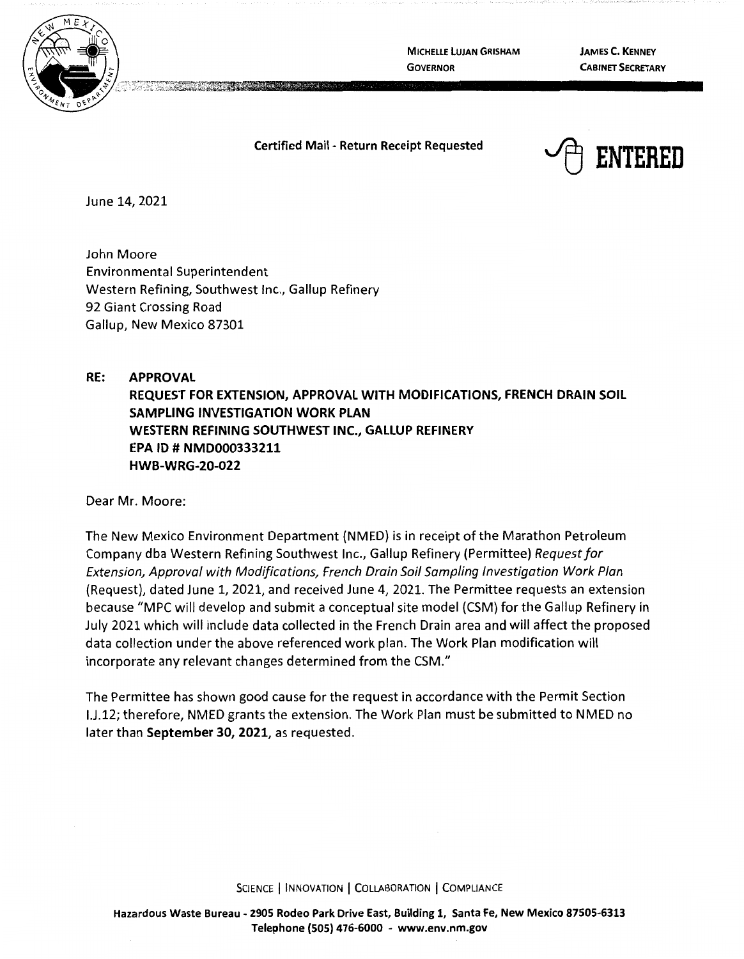

**MICHELLE LUJAN GRISHAM GOVERNOR** 

**JAMES C. KENNEY CABINET SECRETARY** 

**Certified Mail** - **Return Receipt Requested** 



June 14, 2021

John Moore Environmental Superintendent Western Refining, Southwest Inc., Gallup Refinery 92 Giant Crossing Road Gallup, New Mexico 87301

**RE: APPROVAL REQUEST FOR EXTENSION, APPROVAL WITH MODIFICATIONS, FRENCH DRAIN SOIL SAMPLING INVESTIGATION WORK PLAN WESTERN REFINING SOUTHWEST INC., GALLUP REFINERY EPA** ID # **NMD000333211 HWB-WRG-20-022** 

Dear Mr. Moore:

The New Mexico Environment Department {NMED) is in receipt of the Marathon Petroleum Company dba Western Refining Southwest Inc., Gallup Refinery {Permittee) Request for Extension, Approval with Modifications, French Drain Soil Sampling Investigation Work Plan (Request), dated June 1, 2021, and received June 4, 2021. The Permittee requests an extension because "MPC will develop and submit a conceptual site model {CSM) for the Gallup Refinery in July 2021 which will include data collected in the French Drain area and will affect the proposed data collection under the above referenced work plan. The Work Plan modification will incorporate any relevant changes determined from the CSM."

The Perrnittee has shown good cause for the request in accordance with the Permit Section I.J.12; therefore, NMED grants the extension. The Work Plan must be submitted to NMED no later than **September 30, 2021,** as requested.

SCIENCE | INNOVATION | COLLABORATION | COMPLIANCE

**Hazardous Waste Bureau** - **2905 Rodeo Park Drive East, Building 1, Santa Fe, New Mexico 87505-6313 Telephone (SOS) 476-6000** - **www.env.nm.gov**